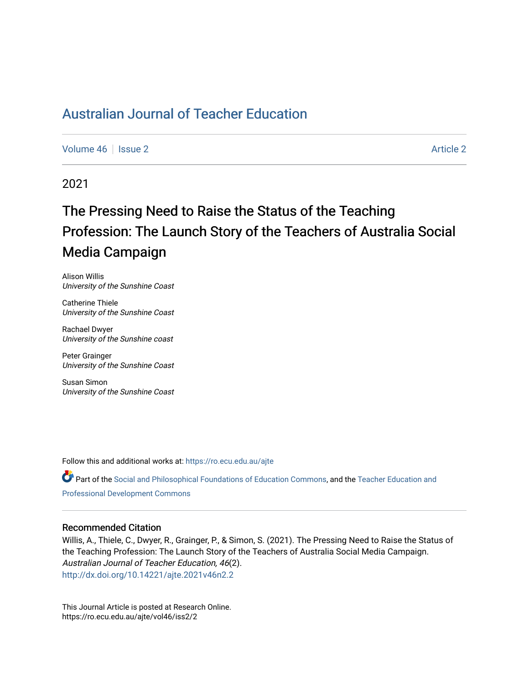# [Australian Journal of Teacher Education](https://ro.ecu.edu.au/ajte)

[Volume 46](https://ro.ecu.edu.au/ajte/vol46) | [Issue 2](https://ro.ecu.edu.au/ajte/vol46/iss2) [Article 2](https://ro.ecu.edu.au/ajte/vol46/iss2/2) Article 2 Article 2 Article 2 Article 2 Article 2 Article 2

2021

# The Pressing Need to Raise the Status of the Teaching Profession: The Launch Story of the Teachers of Australia Social Media Campaign

Alison Willis University of the Sunshine Coast

Catherine Thiele University of the Sunshine Coast

Rachael Dwyer University of the Sunshine coast

Peter Grainger University of the Sunshine Coast

Susan Simon University of the Sunshine Coast

Follow this and additional works at: [https://ro.ecu.edu.au/ajte](https://ro.ecu.edu.au/ajte?utm_source=ro.ecu.edu.au%2Fajte%2Fvol46%2Fiss2%2F2&utm_medium=PDF&utm_campaign=PDFCoverPages) 

**C** Part of the [Social and Philosophical Foundations of Education Commons](http://network.bepress.com/hgg/discipline/799?utm_source=ro.ecu.edu.au%2Fajte%2Fvol46%2Fiss2%2F2&utm_medium=PDF&utm_campaign=PDFCoverPages), and the Teacher Education and [Professional Development Commons](http://network.bepress.com/hgg/discipline/803?utm_source=ro.ecu.edu.au%2Fajte%2Fvol46%2Fiss2%2F2&utm_medium=PDF&utm_campaign=PDFCoverPages) 

#### Recommended Citation

Willis, A., Thiele, C., Dwyer, R., Grainger, P., & Simon, S. (2021). The Pressing Need to Raise the Status of the Teaching Profession: The Launch Story of the Teachers of Australia Social Media Campaign. Australian Journal of Teacher Education, 46(2). <http://dx.doi.org/10.14221/ajte.2021v46n2.2>

This Journal Article is posted at Research Online. https://ro.ecu.edu.au/ajte/vol46/iss2/2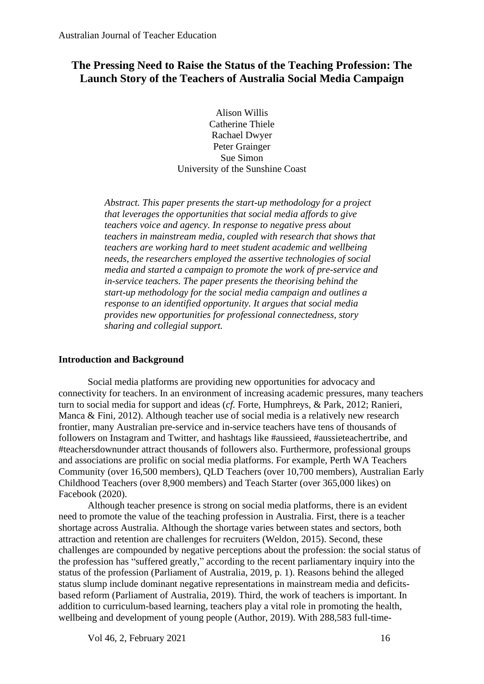# **The Pressing Need to Raise the Status of the Teaching Profession: The Launch Story of the Teachers of Australia Social Media Campaign**

Alison Willis Catherine Thiele Rachael Dwyer Peter Grainger Sue Simon University of the Sunshine Coast

*Abstract. This paper presents the start-up methodology for a project that leverages the opportunities that social media affords to give teachers voice and agency. In response to negative press about teachers in mainstream media, coupled with research that shows that teachers are working hard to meet student academic and wellbeing needs, the researchers employed the assertive technologies of social media and started a campaign to promote the work of pre-service and in-service teachers. The paper presents the theorising behind the start-up methodology for the social media campaign and outlines a response to an identified opportunity. It argues that social media provides new opportunities for professional connectedness, story sharing and collegial support.*

# **Introduction and Background**

Social media platforms are providing new opportunities for advocacy and connectivity for teachers. In an environment of increasing academic pressures, many teachers turn to social media for support and ideas (*cf.* Forte, Humphreys, & Park, 2012; Ranieri, Manca & Fini, 2012). Although teacher use of social media is a relatively new research frontier, many Australian pre-service and in-service teachers have tens of thousands of followers on Instagram and Twitter, and hashtags like #aussieed, #aussieteachertribe, and #teachersdownunder attract thousands of followers also. Furthermore, professional groups and associations are prolific on social media platforms. For example, Perth WA Teachers Community (over 16,500 members), QLD Teachers (over 10,700 members), Australian Early Childhood Teachers (over 8,900 members) and Teach Starter (over 365,000 likes) on Facebook (2020).

Although teacher presence is strong on social media platforms, there is an evident need to promote the value of the teaching profession in Australia. First, there is a teacher shortage across Australia. Although the shortage varies between states and sectors, both attraction and retention are challenges for recruiters (Weldon, 2015). Second, these challenges are compounded by negative perceptions about the profession: the social status of the profession has "suffered greatly," according to the recent parliamentary inquiry into the status of the profession (Parliament of Australia, 2019, p. 1). Reasons behind the alleged status slump include dominant negative representations in mainstream media and deficitsbased reform (Parliament of Australia, 2019). Third, the work of teachers is important. In addition to curriculum-based learning, teachers play a vital role in promoting the health, wellbeing and development of young people (Author, 2019). With 288,583 full-time-

Vol 46, 2, February  $2021$  16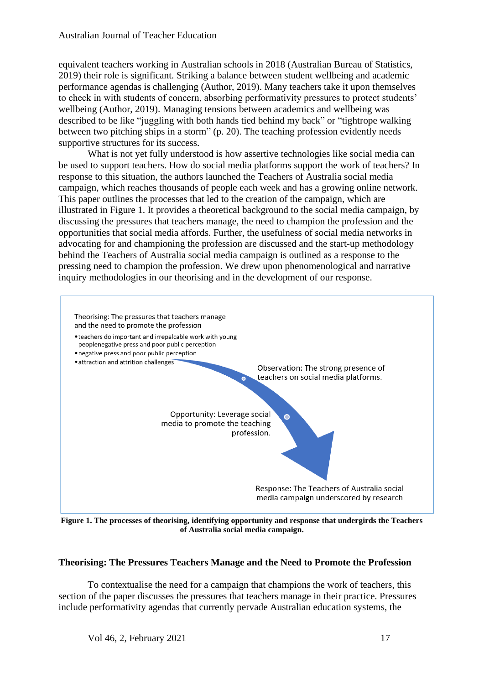equivalent teachers working in Australian schools in 2018 (Australian Bureau of Statistics, 2019) their role is significant. Striking a balance between student wellbeing and academic performance agendas is challenging (Author, 2019). Many teachers take it upon themselves to check in with students of concern, absorbing performativity pressures to protect students' wellbeing (Author, 2019). Managing tensions between academics and wellbeing was described to be like "juggling with both hands tied behind my back" or "tightrope walking between two pitching ships in a storm" (p. 20). The teaching profession evidently needs supportive structures for its success.

What is not yet fully understood is how assertive technologies like social media can be used to support teachers. How do social media platforms support the work of teachers? In response to this situation, the authors launched the Teachers of Australia social media campaign, which reaches thousands of people each week and has a growing online network. This paper outlines the processes that led to the creation of the campaign, which are illustrated in Figure 1. It provides a theoretical background to the social media campaign, by discussing the pressures that teachers manage, the need to champion the profession and the opportunities that social media affords. Further, the usefulness of social media networks in advocating for and championing the profession are discussed and the start-up methodology behind the Teachers of Australia social media campaign is outlined as a response to the pressing need to champion the profession. We drew upon phenomenological and narrative inquiry methodologies in our theorising and in the development of our response.



**Figure 1. The processes of theorising, identifying opportunity and response that undergirds the Teachers of Australia social media campaign.**

# **Theorising: The Pressures Teachers Manage and the Need to Promote the Profession**

To contextualise the need for a campaign that champions the work of teachers, this section of the paper discusses the pressures that teachers manage in their practice. Pressures include performativity agendas that currently pervade Australian education systems, the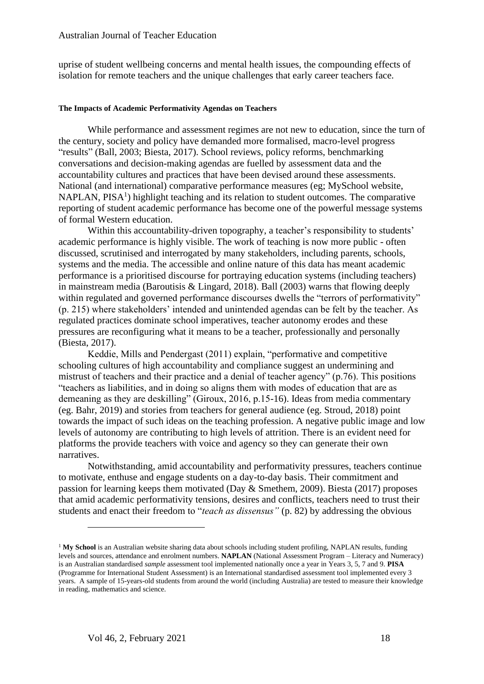uprise of student wellbeing concerns and mental health issues, the compounding effects of isolation for remote teachers and the unique challenges that early career teachers face.

#### **The Impacts of Academic Performativity Agendas on Teachers**

While performance and assessment regimes are not new to education, since the turn of the century, society and policy have demanded more formalised, macro-level progress "results" (Ball, 2003; Biesta, 2017). School reviews, policy reforms, benchmarking conversations and decision-making agendas are fuelled by assessment data and the accountability cultures and practices that have been devised around these assessments. National (and international) comparative performance measures (eg; MySchool website, NAPLAN,  $PISA<sup>1</sup>$ ) highlight teaching and its relation to student outcomes. The comparative reporting of student academic performance has become one of the powerful message systems of formal Western education.

Within this accountability-driven topography, a teacher's responsibility to students' academic performance is highly visible. The work of teaching is now more public - often discussed, scrutinised and interrogated by many stakeholders, including parents, schools, systems and the media. The accessible and online nature of this data has meant academic performance is a prioritised discourse for portraying education systems (including teachers) in mainstream media (Baroutisis & Lingard, 2018). Ball (2003) warns that flowing deeply within regulated and governed performance discourses dwells the "terrors of performativity" (p. 215) where stakeholders' intended and unintended agendas can be felt by the teacher. As regulated practices dominate school imperatives, teacher autonomy erodes and these pressures are reconfiguring what it means to be a teacher, professionally and personally (Biesta, 2017).

Keddie, Mills and Pendergast (2011) explain, "performative and competitive schooling cultures of high accountability and compliance suggest an undermining and mistrust of teachers and their practice and a denial of teacher agency" (p.76). This positions "teachers as liabilities, and in doing so aligns them with modes of education that are as demeaning as they are deskilling" (Giroux, 2016, p.15-16). Ideas from media commentary (eg. Bahr, 2019) and stories from teachers for general audience (eg. Stroud, 2018) point towards the impact of such ideas on the teaching profession. A negative public image and low levels of autonomy are contributing to high levels of attrition. There is an evident need for platforms the provide teachers with voice and agency so they can generate their own narratives.

Notwithstanding, amid accountability and performativity pressures, teachers continue to motivate, enthuse and engage students on a day-to-day basis. Their commitment and passion for learning keeps them motivated (Day & Smethem, 2009). Biesta (2017) proposes that amid academic performativity tensions, desires and conflicts, teachers need to trust their students and enact their freedom to "*teach as dissensus"* (p. 82) by addressing the obvious

<sup>&</sup>lt;sup>1</sup> My School is an Australian website sharing data about schools including student profiling, NAPLAN results, funding levels and sources, attendance and enrolment numbers. **NAPLAN** (National Assessment Program – Literacy and Numeracy) is an Australian standardised *sample* assessment tool implemented nationally once a year in Years 3, 5, 7 and 9. **PISA**  (Programme for International Student Assessment) is an International standardised assessment tool implemented every 3 years. A sample of 15-years-old students from around the world (including Australia) are tested to measure their knowledge in reading, mathematics and science.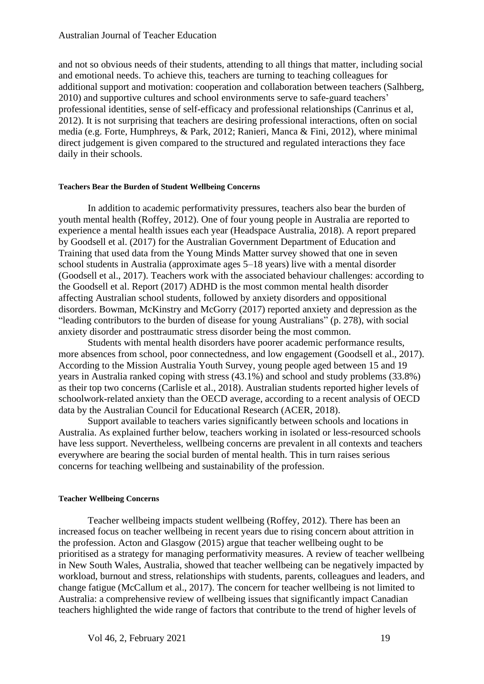## Australian Journal of Teacher Education

and not so obvious needs of their students, attending to all things that matter, including social and emotional needs. To achieve this, teachers are turning to teaching colleagues for additional support and motivation: cooperation and collaboration between teachers (Salhberg, 2010) and supportive cultures and school environments serve to safe-guard teachers' professional identities, sense of self-efficacy and professional relationships (Canrinus et al, 2012). It is not surprising that teachers are desiring professional interactions, often on social media (e.g. Forte, Humphreys, & Park, 2012; Ranieri, Manca & Fini, 2012), where minimal direct judgement is given compared to the structured and regulated interactions they face daily in their schools.

#### **Teachers Bear the Burden of Student Wellbeing Concerns**

In addition to academic performativity pressures, teachers also bear the burden of youth mental health (Roffey, 2012). One of four young people in Australia are reported to experience a mental health issues each year (Headspace Australia, 2018). A report prepared by Goodsell et al. (2017) for the Australian Government Department of Education and Training that used data from the Young Minds Matter survey showed that one in seven school students in Australia (approximate ages 5–18 years) live with a mental disorder (Goodsell et al., 2017). Teachers work with the associated behaviour challenges: according to the Goodsell et al. Report (2017) ADHD is the most common mental health disorder affecting Australian school students, followed by anxiety disorders and oppositional disorders. Bowman, McKinstry and McGorry (2017) reported anxiety and depression as the "leading contributors to the burden of disease for young Australians" (p. 278), with social anxiety disorder and posttraumatic stress disorder being the most common.

Students with mental health disorders have poorer academic performance results, more absences from school, poor connectedness, and low engagement (Goodsell et al., 2017). According to the Mission Australia Youth Survey, young people aged between 15 and 19 years in Australia ranked coping with stress (43.1%) and school and study problems (33.8%) as their top two concerns (Carlisle et al., 2018). Australian students reported higher levels of schoolwork-related anxiety than the OECD average, according to a recent analysis of OECD data by the Australian Council for Educational Research (ACER, 2018).

Support available to teachers varies significantly between schools and locations in Australia. As explained further below, teachers working in isolated or less-resourced schools have less support. Nevertheless, wellbeing concerns are prevalent in all contexts and teachers everywhere are bearing the social burden of mental health. This in turn raises serious concerns for teaching wellbeing and sustainability of the profession.

#### **Teacher Wellbeing Concerns**

Teacher wellbeing impacts student wellbeing (Roffey, 2012). There has been an increased focus on teacher wellbeing in recent years due to rising concern about attrition in the profession. Acton and Glasgow (2015) argue that teacher wellbeing ought to be prioritised as a strategy for managing performativity measures. A review of teacher wellbeing in New South Wales, Australia, showed that teacher wellbeing can be negatively impacted by workload, burnout and stress, relationships with students, parents, colleagues and leaders, and change fatigue (McCallum et al., 2017). The concern for teacher wellbeing is not limited to Australia: a comprehensive review of wellbeing issues that significantly impact Canadian teachers highlighted the wide range of factors that contribute to the trend of higher levels of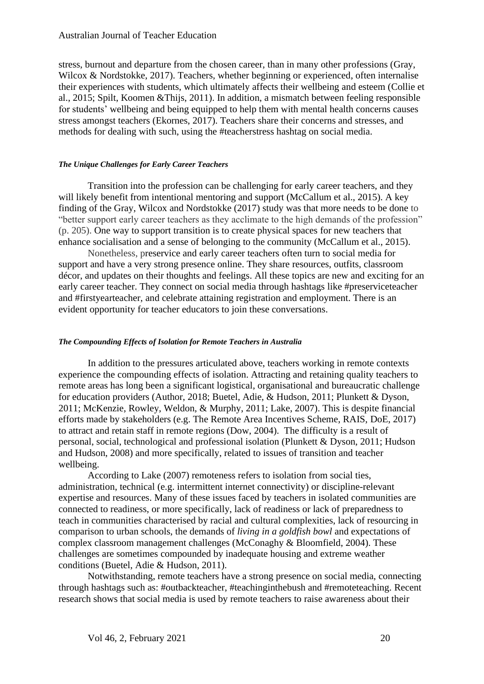## Australian Journal of Teacher Education

stress, burnout and departure from the chosen career, than in many other professions (Gray, Wilcox & Nordstokke, 2017). Teachers, whether beginning or experienced, often internalise their experiences with students, which ultimately affects their wellbeing and esteem (Collie et al., 2015; Spilt, Koomen &Thijs, 2011). In addition, a mismatch between feeling responsible for students' wellbeing and being equipped to help them with mental health concerns causes stress amongst teachers (Ekornes, 2017). Teachers share their concerns and stresses, and methods for dealing with such, using the #teacherstress hashtag on social media.

#### *The Unique Challenges for Early Career Teachers*

Transition into the profession can be challenging for early career teachers, and they will likely benefit from intentional mentoring and support (McCallum et al., 2015). A key finding of the Gray, Wilcox and Nordstokke (2017) study was that more needs to be done to "better support early career teachers as they acclimate to the high demands of the profession" (p. 205). One way to support transition is to create physical spaces for new teachers that enhance socialisation and a sense of belonging to the community (McCallum et al., 2015).

Nonetheless, preservice and early career teachers often turn to social media for support and have a very strong presence online. They share resources, outfits, classroom décor, and updates on their thoughts and feelings. All these topics are new and exciting for an early career teacher. They connect on social media through hashtags like #preserviceteacher and #firstyearteacher, and celebrate attaining registration and employment. There is an evident opportunity for teacher educators to join these conversations.

#### *The Compounding Effects of Isolation for Remote Teachers in Australia*

In addition to the pressures articulated above, teachers working in remote contexts experience the compounding effects of isolation. Attracting and retaining quality teachers to remote areas has long been a significant logistical, organisational and bureaucratic challenge for education providers (Author, 2018; Buetel, Adie, & Hudson, 2011; Plunkett & Dyson, 2011; McKenzie, Rowley, Weldon, & Murphy, 2011; Lake, 2007). This is despite financial efforts made by stakeholders (e.g. The Remote Area Incentives Scheme, RAIS, DoE, 2017) to attract and retain staff in remote regions (Dow, 2004). The difficulty is a result of personal, social, technological and professional isolation (Plunkett & Dyson, 2011; Hudson and Hudson, 2008) and more specifically, related to issues of transition and teacher wellbeing.

According to Lake (2007) remoteness refers to isolation from social ties, administration, technical (e.g. intermittent internet connectivity) or discipline-relevant expertise and resources. Many of these issues faced by teachers in isolated communities are connected to readiness, or more specifically, lack of readiness or lack of preparedness to teach in communities characterised by racial and cultural complexities, lack of resourcing in comparison to urban schools, the demands of *living in a goldfish bowl* and expectations of complex classroom management challenges (McConaghy & Bloomfield, 2004). These challenges are sometimes compounded by inadequate housing and extreme weather conditions (Buetel, Adie & Hudson, 2011).

Notwithstanding, remote teachers have a strong presence on social media, connecting through hashtags such as: #outbackteacher, #teachinginthebush and #remoteteaching. Recent research shows that social media is used by remote teachers to raise awareness about their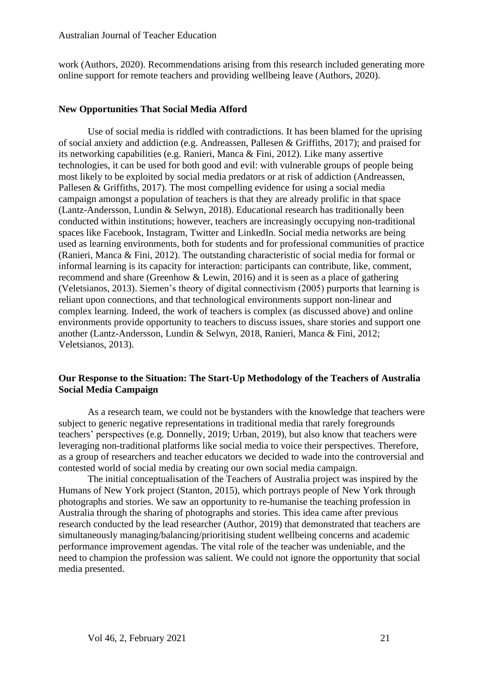work (Authors, 2020). Recommendations arising from this research included generating more online support for remote teachers and providing wellbeing leave (Authors, 2020).

## **New Opportunities That Social Media Afford**

Use of social media is riddled with contradictions. It has been blamed for the uprising of social anxiety and addiction (e.g. Andreassen, Pallesen & Griffiths, 2017); and praised for its networking capabilities (e.g. Ranieri, Manca & Fini, 2012). Like many assertive technologies, it can be used for both good and evil: with vulnerable groups of people being most likely to be exploited by social media predators or at risk of addiction (Andreassen, Pallesen & Griffiths, 2017). The most compelling evidence for using a social media campaign amongst a population of teachers is that they are already prolific in that space (Lantz-Andersson, Lundin & Selwyn, 2018). Educational research has traditionally been conducted within institutions; however, teachers are increasingly occupying non-traditional spaces like Facebook, Instagram, Twitter and LinkedIn. Social media networks are being used as learning environments, both for students and for professional communities of practice (Ranieri, Manca & Fini, 2012). The outstanding characteristic of social media for formal or informal learning is its capacity for interaction: participants can contribute, like, comment, recommend and share (Greenhow & Lewin, 2016) and it is seen as a place of gathering (Veletsianos, 2013). Siemen's theory of digital connectivism (2005) purports that learning is reliant upon connections, and that technological environments support non-linear and complex learning. Indeed, the work of teachers is complex (as discussed above) and online environments provide opportunity to teachers to discuss issues, share stories and support one another (Lantz-Andersson, Lundin & Selwyn, 2018, Ranieri, Manca & Fini, 2012; Veletsianos, 2013).

# **Our Response to the Situation: The Start-Up Methodology of the Teachers of Australia Social Media Campaign**

As a research team, we could not be bystanders with the knowledge that teachers were subject to generic negative representations in traditional media that rarely foregrounds teachers' perspectives (e.g. Donnelly, 2019; Urban, 2019), but also know that teachers were leveraging non-traditional platforms like social media to voice their perspectives. Therefore, as a group of researchers and teacher educators we decided to wade into the controversial and contested world of social media by creating our own social media campaign.

The initial conceptualisation of the Teachers of Australia project was inspired by the Humans of New York project (Stanton, 2015), which portrays people of New York through photographs and stories. We saw an opportunity to re-humanise the teaching profession in Australia through the sharing of photographs and stories. This idea came after previous research conducted by the lead researcher (Author, 2019) that demonstrated that teachers are simultaneously managing/balancing/prioritising student wellbeing concerns and academic performance improvement agendas. The vital role of the teacher was undeniable, and the need to champion the profession was salient. We could not ignore the opportunity that social media presented.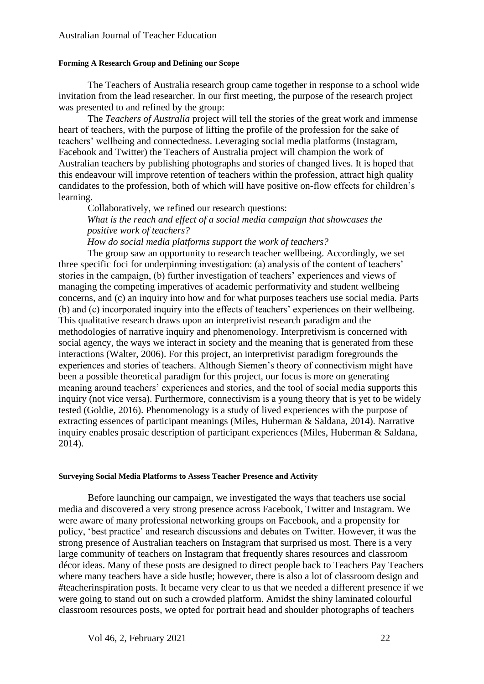#### **Forming A Research Group and Defining our Scope**

The Teachers of Australia research group came together in response to a school wide invitation from the lead researcher. In our first meeting, the purpose of the research project was presented to and refined by the group:

The *Teachers of Australia* project will tell the stories of the great work and immense heart of teachers, with the purpose of lifting the profile of the profession for the sake of teachers' wellbeing and connectedness. Leveraging social media platforms (Instagram, Facebook and Twitter) the Teachers of Australia project will champion the work of Australian teachers by publishing photographs and stories of changed lives. It is hoped that this endeavour will improve retention of teachers within the profession, attract high quality candidates to the profession, both of which will have positive on-flow effects for children's learning.

Collaboratively, we refined our research questions:

*What is the reach and effect of a social media campaign that showcases the positive work of teachers?*

*How do social media platforms support the work of teachers?* 

The group saw an opportunity to research teacher wellbeing. Accordingly, we set three specific foci for underpinning investigation: (a) analysis of the content of teachers' stories in the campaign, (b) further investigation of teachers' experiences and views of managing the competing imperatives of academic performativity and student wellbeing concerns, and (c) an inquiry into how and for what purposes teachers use social media. Parts (b) and (c) incorporated inquiry into the effects of teachers' experiences on their wellbeing. This qualitative research draws upon an interpretivist research paradigm and the methodologies of narrative inquiry and phenomenology. Interpretivism is concerned with social agency, the ways we interact in society and the meaning that is generated from these interactions (Walter, 2006). For this project, an interpretivist paradigm foregrounds the experiences and stories of teachers. Although Siemen's theory of connectivism might have been a possible theoretical paradigm for this project, our focus is more on generating meaning around teachers' experiences and stories, and the tool of social media supports this inquiry (not vice versa). Furthermore, connectivism is a young theory that is yet to be widely tested (Goldie, 2016). Phenomenology is a study of lived experiences with the purpose of extracting essences of participant meanings (Miles, Huberman & Saldana, 2014). Narrative inquiry enables prosaic description of participant experiences (Miles, Huberman & Saldana, 2014).

# **Surveying Social Media Platforms to Assess Teacher Presence and Activity**

Before launching our campaign, we investigated the ways that teachers use social media and discovered a very strong presence across Facebook, Twitter and Instagram. We were aware of many professional networking groups on Facebook, and a propensity for policy, 'best practice' and research discussions and debates on Twitter. However, it was the strong presence of Australian teachers on Instagram that surprised us most. There is a very large community of teachers on Instagram that frequently shares resources and classroom décor ideas. Many of these posts are designed to direct people back to Teachers Pay Teachers where many teachers have a side hustle; however, there is also a lot of classroom design and #teacherinspiration posts. It became very clear to us that we needed a different presence if we were going to stand out on such a crowded platform. Amidst the shiny laminated colourful classroom resources posts, we opted for portrait head and shoulder photographs of teachers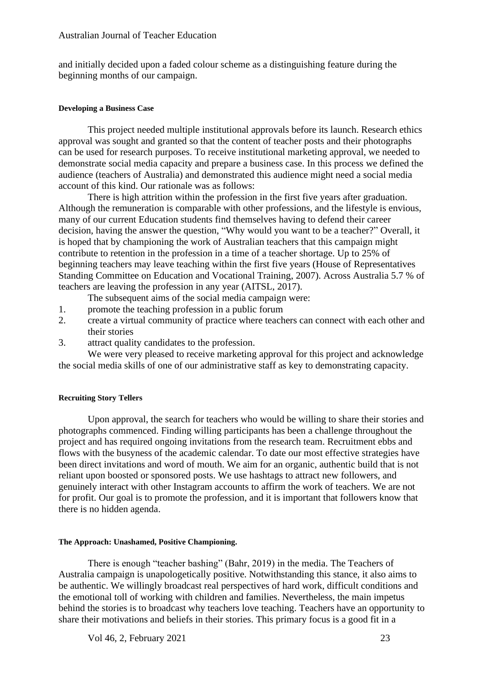and initially decided upon a faded colour scheme as a distinguishing feature during the beginning months of our campaign.

#### **Developing a Business Case**

This project needed multiple institutional approvals before its launch. Research ethics approval was sought and granted so that the content of teacher posts and their photographs can be used for research purposes. To receive institutional marketing approval, we needed to demonstrate social media capacity and prepare a business case. In this process we defined the audience (teachers of Australia) and demonstrated this audience might need a social media account of this kind. Our rationale was as follows:

There is high attrition within the profession in the first five years after graduation. Although the remuneration is comparable with other professions, and the lifestyle is envious, many of our current Education students find themselves having to defend their career decision, having the answer the question, "Why would you want to be a teacher?" Overall, it is hoped that by championing the work of Australian teachers that this campaign might contribute to retention in the profession in a time of a teacher shortage. Up to 25% of beginning teachers may leave teaching within the first five years (House of Representatives Standing Committee on Education and Vocational Training, 2007). Across Australia 5.7 % of teachers are leaving the profession in any year (AITSL, 2017).

- The subsequent aims of the social media campaign were:
- 1. promote the teaching profession in a public forum
- 2. create a virtual community of practice where teachers can connect with each other and their stories
- 3. attract quality candidates to the profession.

We were very pleased to receive marketing approval for this project and acknowledge the social media skills of one of our administrative staff as key to demonstrating capacity.

# **Recruiting Story Tellers**

Upon approval, the search for teachers who would be willing to share their stories and photographs commenced. Finding willing participants has been a challenge throughout the project and has required ongoing invitations from the research team. Recruitment ebbs and flows with the busyness of the academic calendar. To date our most effective strategies have been direct invitations and word of mouth. We aim for an organic, authentic build that is not reliant upon boosted or sponsored posts. We use hashtags to attract new followers, and genuinely interact with other Instagram accounts to affirm the work of teachers. We are not for profit. Our goal is to promote the profession, and it is important that followers know that there is no hidden agenda.

#### **The Approach: Unashamed, Positive Championing.**

There is enough "teacher bashing" (Bahr, 2019) in the media. The Teachers of Australia campaign is unapologetically positive. Notwithstanding this stance, it also aims to be authentic. We willingly broadcast real perspectives of hard work, difficult conditions and the emotional toll of working with children and families. Nevertheless, the main impetus behind the stories is to broadcast why teachers love teaching. Teachers have an opportunity to share their motivations and beliefs in their stories. This primary focus is a good fit in a

Vol 46, 2, February 2021 23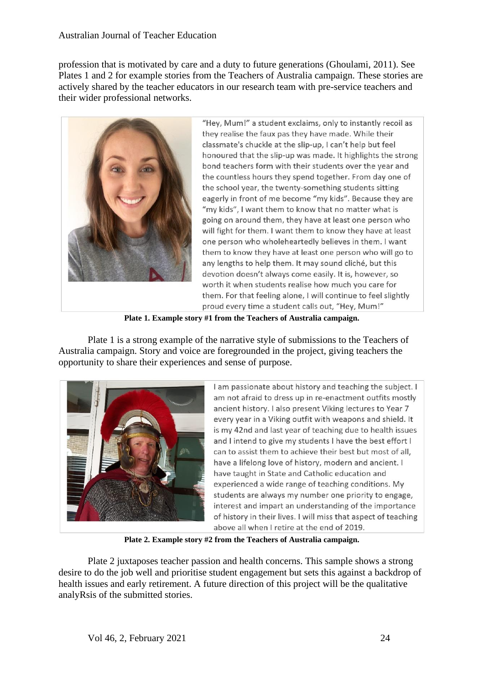profession that is motivated by care and a duty to future generations (Ghoulami, 2011). See Plates 1 and 2 for example stories from the Teachers of Australia campaign. These stories are actively shared by the teacher educators in our research team with pre-service teachers and their wider professional networks.



"Hey, Mum!" a student exclaims, only to instantly recoil as they realise the faux pas they have made. While their classmate's chuckle at the slip-up, I can't help but feel honoured that the slip-up was made. It highlights the strong bond teachers form with their students over the year and the countless hours they spend together. From day one of the school year, the twenty-something students sitting eagerly in front of me become "my kids". Because they are "my kids", I want them to know that no matter what is going on around them, they have at least one person who will fight for them. I want them to know they have at least one person who wholeheartedly believes in them. I want them to know they have at least one person who will go to any lengths to help them. It may sound cliché, but this devotion doesn't always come easily. It is, however, so worth it when students realise how much you care for them. For that feeling alone, I will continue to feel slightly proud every time a student calls out, "Hey, Mum!"

**Plate 1. Example story #1 from the Teachers of Australia campaign.**

Plate 1 is a strong example of the narrative style of submissions to the Teachers of Australia campaign. Story and voice are foregrounded in the project, giving teachers the opportunity to share their experiences and sense of purpose.



I am passionate about history and teaching the subject. I am not afraid to dress up in re-enactment outfits mostly ancient history. I also present Viking lectures to Year 7 every year in a Viking outfit with weapons and shield. It is my 42nd and last year of teaching due to health issues and I intend to give my students I have the best effort I can to assist them to achieve their best but most of all. have a lifelong love of history, modern and ancient. I have taught in State and Catholic education and experienced a wide range of teaching conditions. My students are always my number one priority to engage, interest and impart an understanding of the importance of history in their lives. I will miss that aspect of teaching above all when I retire at the end of 2019.

**Plate 2. Example story #2 from the Teachers of Australia campaign.**

Plate 2 juxtaposes teacher passion and health concerns. This sample shows a strong desire to do the job well and prioritise student engagement but sets this against a backdrop of health issues and early retirement. A future direction of this project will be the qualitative analyRsis of the submitted stories.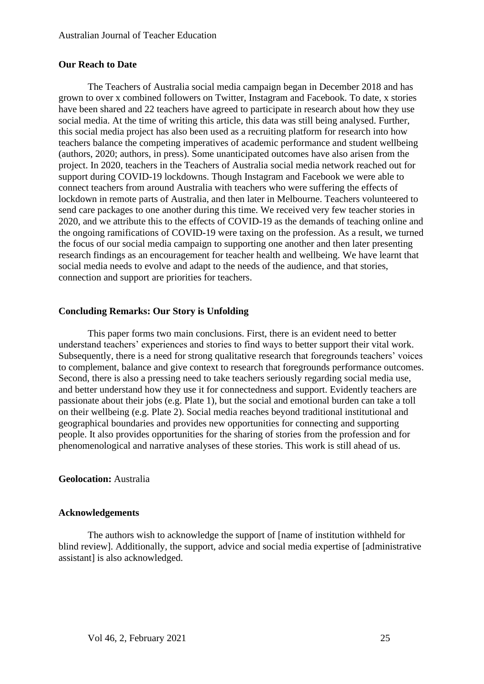## **Our Reach to Date**

The Teachers of Australia social media campaign began in December 2018 and has grown to over x combined followers on Twitter, Instagram and Facebook. To date, x stories have been shared and 22 teachers have agreed to participate in research about how they use social media. At the time of writing this article, this data was still being analysed. Further, this social media project has also been used as a recruiting platform for research into how teachers balance the competing imperatives of academic performance and student wellbeing (authors, 2020; authors, in press). Some unanticipated outcomes have also arisen from the project. In 2020, teachers in the Teachers of Australia social media network reached out for support during COVID-19 lockdowns. Though Instagram and Facebook we were able to connect teachers from around Australia with teachers who were suffering the effects of lockdown in remote parts of Australia, and then later in Melbourne. Teachers volunteered to send care packages to one another during this time. We received very few teacher stories in 2020, and we attribute this to the effects of COVID-19 as the demands of teaching online and the ongoing ramifications of COVID-19 were taxing on the profession. As a result, we turned the focus of our social media campaign to supporting one another and then later presenting research findings as an encouragement for teacher health and wellbeing. We have learnt that social media needs to evolve and adapt to the needs of the audience, and that stories, connection and support are priorities for teachers.

# **Concluding Remarks: Our Story is Unfolding**

This paper forms two main conclusions. First, there is an evident need to better understand teachers' experiences and stories to find ways to better support their vital work. Subsequently, there is a need for strong qualitative research that foregrounds teachers' voices to complement, balance and give context to research that foregrounds performance outcomes. Second, there is also a pressing need to take teachers seriously regarding social media use, and better understand how they use it for connectedness and support. Evidently teachers are passionate about their jobs (e.g. Plate 1), but the social and emotional burden can take a toll on their wellbeing (e.g. Plate 2). Social media reaches beyond traditional institutional and geographical boundaries and provides new opportunities for connecting and supporting people. It also provides opportunities for the sharing of stories from the profession and for phenomenological and narrative analyses of these stories. This work is still ahead of us.

# **Geolocation:** Australia

#### **Acknowledgements**

The authors wish to acknowledge the support of [name of institution withheld for blind review]. Additionally, the support, advice and social media expertise of [administrative assistant] is also acknowledged.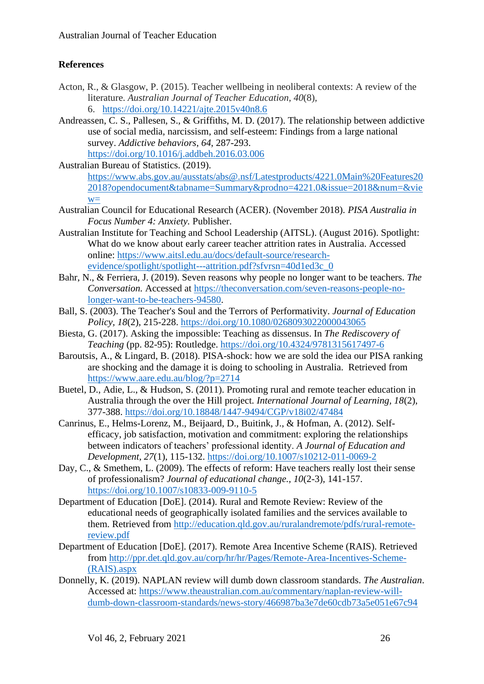# **References**

- Acton, R., & Glasgow, P. (2015). Teacher wellbeing in neoliberal contexts: A review of the literature. *Australian Journal of Teacher Education*, *40*(8), 6. <https://doi.org/10.14221/ajte.2015v40n8.6>
- Andreassen, C. S., Pallesen, S., & Griffiths, M. D. (2017). The relationship between addictive use of social media, narcissism, and self-esteem: Findings from a large national survey. *Addictive behaviors*, *64*, 287-293. <https://doi.org/10.1016/j.addbeh.2016.03.006>

Australian Bureau of Statistics. (2019). [https://www.abs.gov.au/ausstats/abs@.nsf/Latestproducts/4221.0Main%20Features20](https://www.abs.gov.au/ausstats/abs@.nsf/Latestproducts/4221.0Main%20Features202018?opendocument&tabname=Summary&prodno=4221.0&issue=2018&num=&view=) [2018?opendocument&tabname=Summary&prodno=4221.0&issue=2018&num=&vie](https://www.abs.gov.au/ausstats/abs@.nsf/Latestproducts/4221.0Main%20Features202018?opendocument&tabname=Summary&prodno=4221.0&issue=2018&num=&view=)  $W=$ 

- Australian Council for Educational Research (ACER). (November 2018). *PISA Australia in Focus Number 4: Anxiety.* Publisher.
- Australian Institute for Teaching and School Leadership (AITSL). (August 2016). Spotlight: What do we know about early career teacher attrition rates in Australia. Accessed online: [https://www.aitsl.edu.au/docs/default-source/research](https://www.aitsl.edu.au/docs/default-source/research-evidence/spotlight/spotlight---attrition.pdf?sfvrsn=40d1ed3c_0)[evidence/spotlight/spotlight---attrition.pdf?sfvrsn=40d1ed3c\\_0](https://www.aitsl.edu.au/docs/default-source/research-evidence/spotlight/spotlight---attrition.pdf?sfvrsn=40d1ed3c_0)
- Bahr, N., & Ferriera, J. (2019). Seven reasons why people no longer want to be teachers. *The Conversation.* Accessed at [https://theconversation.com/seven-reasons-people-no](https://theconversation.com/seven-reasons-people-no-longer-want-to-be-teachers-94580?utm_source=twitter&utm_medium=twitterbutton)[longer-want-to-be-teachers-94580.](https://theconversation.com/seven-reasons-people-no-longer-want-to-be-teachers-94580?utm_source=twitter&utm_medium=twitterbutton)
- Ball, S. (2003). The Teacher's Soul and the Terrors of Performativity. *Journal of Education Policy, 18*(2), 215-228.<https://doi.org/10.1080/0268093022000043065>
- Biesta, G. (2017). Asking the impossible: Teaching as dissensus. In *The Rediscovery of Teaching* (pp. 82-95): Routledge. <https://doi.org/10.4324/9781315617497-6>
- Baroutsis, A., & Lingard, B. (2018). PISA-shock: how we are sold the idea our PISA ranking are shocking and the damage it is doing to schooling in Australia. Retrieved from <https://www.aare.edu.au/blog/?p=2714>
- Buetel, D., Adie, L., & Hudson, S. (2011). Promoting rural and remote teacher education in Australia through the over the Hill project. *International Journal of Learning, 18*(2), 377-388. <https://doi.org/10.18848/1447-9494/CGP/v18i02/47484>
- Canrinus, E., Helms-Lorenz, M., Beijaard, D., Buitink, J., & Hofman, A. (2012). Selfefficacy, job satisfaction, motivation and commitment: exploring the relationships between indicators of teachers' professional identity. *A Journal of Education and Development, 27*(1), 115-132.<https://doi.org/10.1007/s10212-011-0069-2>
- Day, C., & Smethem, L. (2009). The effects of reform: Have teachers really lost their sense of professionalism? *Journal of educational change., 10*(2-3), 141-157. <https://doi.org/10.1007/s10833-009-9110-5>
- Department of Education [DoE]. (2014). Rural and Remote Review: Review of the educational needs of geographically isolated families and the services available to them. Retrieved from [http://education.qld.gov.au/ruralandremote/pdfs/rural-remote](http://education.qld.gov.au/ruralandremote/pdfs/rural-remote-review.pdf)[review.pdf](http://education.qld.gov.au/ruralandremote/pdfs/rural-remote-review.pdf)
- Department of Education [DoE]. (2017). Remote Area Incentive Scheme (RAIS). Retrieved from [http://ppr.det.qld.gov.au/corp/hr/hr/Pages/Remote-Area-Incentives-Scheme-](http://ppr.det.qld.gov.au/corp/hr/hr/Pages/Remote-Area-Incentives-Scheme-(RAIS).aspx) [\(RAIS\).aspx](http://ppr.det.qld.gov.au/corp/hr/hr/Pages/Remote-Area-Incentives-Scheme-(RAIS).aspx)
- Donnelly, K. (2019). NAPLAN review will dumb down classroom standards. *The Australian*. Accessed at: [https://www.theaustralian.com.au/commentary/naplan-review-will](https://www.theaustralian.com.au/commentary/naplan-review-will-dumb-down-classroom-standards/news-story/466987ba3e7de60cdb73a5e051e67c94)[dumb-down-classroom-standards/news-story/466987ba3e7de60cdb73a5e051e67c94](https://www.theaustralian.com.au/commentary/naplan-review-will-dumb-down-classroom-standards/news-story/466987ba3e7de60cdb73a5e051e67c94)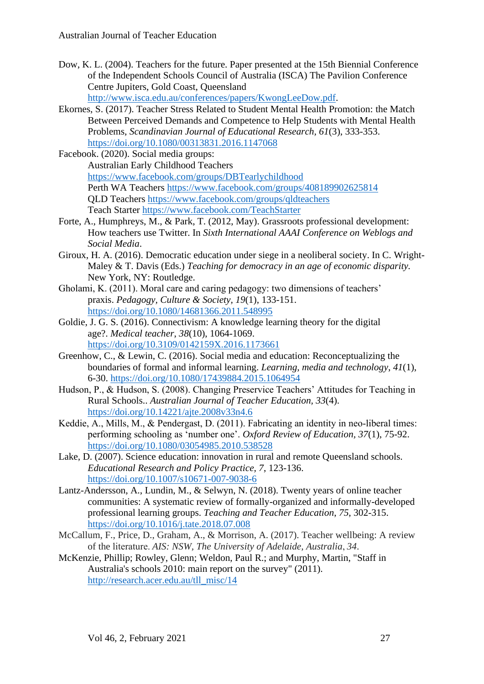Dow, K. L. (2004). Teachers for the future. Paper presented at the 15th Biennial Conference of the Independent Schools Council of Australia (ISCA) The Pavilion Conference Centre Jupiters, Gold Coast, Queensland

[http://www.isca.edu.au/conferences/papers/KwongLeeDow.pdf.](http://www.isca.edu.au/conferences/papers/KwongLeeDow.pdf)

- Ekornes, S. (2017). Teacher Stress Related to Student Mental Health Promotion: the Match Between Perceived Demands and Competence to Help Students with Mental Health Problems, *Scandinavian Journal of Educational Research, 61*(3), 333-353. <https://doi.org/10.1080/00313831.2016.1147068>
- Facebook. (2020). Social media groups: Australian Early Childhood Teachers <https://www.facebook.com/groups/DBTearlychildhood> Perth WA Teachers <https://www.facebook.com/groups/408189902625814> QLD Teachers <https://www.facebook.com/groups/qldteachers> Teach Starter <https://www.facebook.com/TeachStarter>
- Forte, A., Humphreys, M., & Park, T. (2012, May). Grassroots professional development: How teachers use Twitter. In *Sixth International AAAI Conference on Weblogs and Social Media*.
- Giroux, H. A. (2016). Democratic education under siege in a neoliberal society. In C. Wright-Maley & T. Davis (Eds.) *Teaching for democracy in an age of economic disparity.* New York, NY: Routledge.
- Gholami, K. (2011). Moral care and caring pedagogy: two dimensions of teachers' praxis. *Pedagogy, Culture & Society, 19*(1), 133-151. <https://doi.org/10.1080/14681366.2011.548995>
- Goldie, J. G. S. (2016). Connectivism: A knowledge learning theory for the digital age?. *Medical teacher*, *38*(10), 1064-1069. <https://doi.org/10.3109/0142159X.2016.1173661>
- Greenhow, C., & Lewin, C. (2016). Social media and education: Reconceptualizing the boundaries of formal and informal learning. *Learning, media and technology*, *41*(1), 6-30. <https://doi.org/10.1080/17439884.2015.1064954>
- Hudson, P., & Hudson, S. (2008). Changing Preservice Teachers' Attitudes for Teaching in Rural Schools.. *Australian Journal of Teacher Education, 33*(4). <https://doi.org/10.14221/ajte.2008v33n4.6>
- Keddie, A., Mills, M., & Pendergast, D. (2011). Fabricating an identity in neo-liberal times: performing schooling as 'number one'. *Oxford Review of Education, 37*(1), 75-92. <https://doi.org/10.1080/03054985.2010.538528>
- Lake, D. (2007). Science education: innovation in rural and remote Queensland schools. *Educational Research and Policy Practice, 7*, 123-136. <https://doi.org/10.1007/s10671-007-9038-6>
- Lantz-Andersson, A., Lundin, M., & Selwyn, N. (2018). Twenty years of online teacher communities: A systematic review of formally-organized and informally-developed professional learning groups. *Teaching and Teacher Education*, *75*, 302-315. <https://doi.org/10.1016/j.tate.2018.07.008>
- McCallum, F., Price, D., Graham, A., & Morrison, A. (2017). Teacher wellbeing: A review of the literature. *AIS: NSW, The University of Adelaide, Australia*, *34*.
- McKenzie, Phillip; Rowley, Glenn; Weldon, Paul R.; and Murphy, Martin, "Staff in Australia's schools 2010: main report on the survey" (2011). [http://research.acer.edu.au/tll\\_misc/14](http://research.acer.edu.au/tll_misc/14)